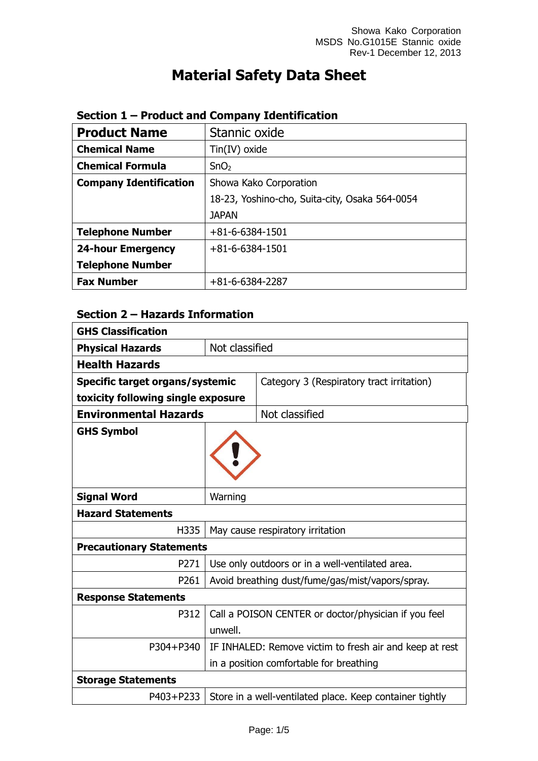# **Material Safety Data Sheet**

| <b>Product Name</b>           | Stannic oxide                                  |
|-------------------------------|------------------------------------------------|
| <b>Chemical Name</b>          | $Tin(IV)$ oxide                                |
| <b>Chemical Formula</b>       | SnO <sub>2</sub>                               |
| <b>Company Identification</b> | Showa Kako Corporation                         |
|                               | 18-23, Yoshino-cho, Suita-city, Osaka 564-0054 |
|                               | <b>JAPAN</b>                                   |
| <b>Telephone Number</b>       | $+81 - 6 - 6384 - 1501$                        |
| <b>24-hour Emergency</b>      | $+81 - 6 - 6384 - 1501$                        |
| <b>Telephone Number</b>       |                                                |
| <b>Fax Number</b>             | $+81-6-6384-2287$                              |

## **Section 1 – Product and Company Identification**

## **Section 2 – Hazards Information**

| <b>GHS Classification</b>                |                |                                                          |
|------------------------------------------|----------------|----------------------------------------------------------|
| <b>Physical Hazards</b>                  | Not classified |                                                          |
| <b>Health Hazards</b>                    |                |                                                          |
| Specific target organs/systemic          |                | Category 3 (Respiratory tract irritation)                |
| toxicity following single exposure       |                |                                                          |
| <b>Environmental Hazards</b>             |                | Not classified                                           |
| <b>GHS Symbol</b>                        |                |                                                          |
| <b>Signal Word</b>                       | Warning        |                                                          |
| <b>Hazard Statements</b>                 |                |                                                          |
| H335<br>May cause respiratory irritation |                |                                                          |
| <b>Precautionary Statements</b>          |                |                                                          |
| P271                                     |                | Use only outdoors or in a well-ventilated area.          |
| P261                                     |                | Avoid breathing dust/fume/gas/mist/vapors/spray.         |
| <b>Response Statements</b>               |                |                                                          |
| P312                                     |                | Call a POISON CENTER or doctor/physician if you feel     |
|                                          | unwell.        |                                                          |
| P304+P340                                |                | IF INHALED: Remove victim to fresh air and keep at rest  |
|                                          |                | in a position comfortable for breathing                  |
| <b>Storage Statements</b>                |                |                                                          |
| P403+P233                                |                | Store in a well-ventilated place. Keep container tightly |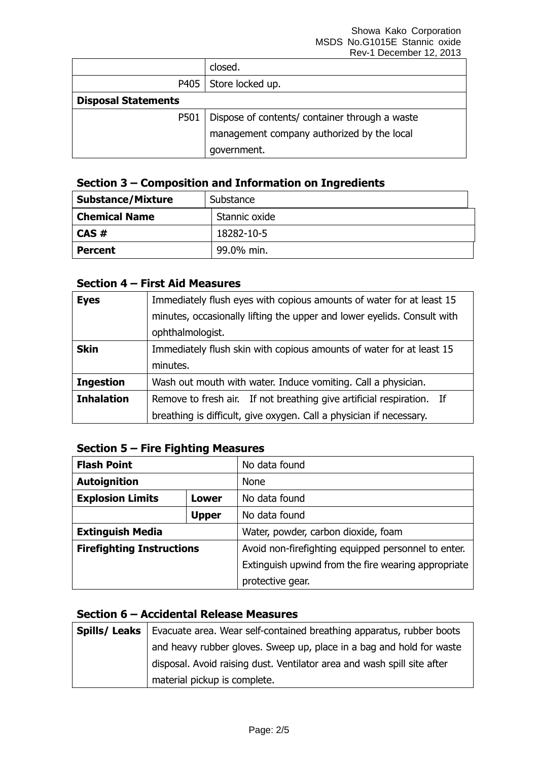|                            | closed.                                        |  |
|----------------------------|------------------------------------------------|--|
|                            | P405   Store locked up.                        |  |
| <b>Disposal Statements</b> |                                                |  |
| P501                       | Dispose of contents/ container through a waste |  |
|                            | management company authorized by the local     |  |
|                            | government.                                    |  |

## **Section 3 – Composition and Information on Ingredients**

| <b>Substance/Mixture</b> | Substance     |  |
|--------------------------|---------------|--|
| <b>Chemical Name</b>     | Stannic oxide |  |
| $CAS \#$                 | 18282-10-5    |  |
| <b>Percent</b>           | 99.0% min.    |  |

#### **Section 4 – First Aid Measures**

| <b>Eyes</b>       | Immediately flush eyes with copious amounts of water for at least 15    |
|-------------------|-------------------------------------------------------------------------|
|                   | minutes, occasionally lifting the upper and lower eyelids. Consult with |
|                   | ophthalmologist.                                                        |
| <b>Skin</b>       | Immediately flush skin with copious amounts of water for at least 15    |
|                   | minutes.                                                                |
| <b>Ingestion</b>  | Wash out mouth with water. Induce vomiting. Call a physician.           |
| <b>Inhalation</b> | Remove to fresh air. If not breathing give artificial respiration. If   |
|                   | breathing is difficult, give oxygen. Call a physician if necessary.     |

### **Section 5 – Fire Fighting Measures**

| <b>Flash Point</b>               |              | No data found                                       |
|----------------------------------|--------------|-----------------------------------------------------|
| <b>Autoignition</b>              | <b>None</b>  |                                                     |
| <b>Explosion Limits</b><br>Lower |              | No data found                                       |
|                                  | <b>Upper</b> | No data found                                       |
| <b>Extinguish Media</b>          |              | Water, powder, carbon dioxide, foam                 |
| <b>Firefighting Instructions</b> |              | Avoid non-firefighting equipped personnel to enter. |
|                                  |              | Extinguish upwind from the fire wearing appropriate |
|                                  |              | protective gear.                                    |

## **Section 6 – Accidental Release Measures**

| Spills/ Leaks | Evacuate area. Wear self-contained breathing apparatus, rubber boots    |
|---------------|-------------------------------------------------------------------------|
|               | and heavy rubber gloves. Sweep up, place in a bag and hold for waste    |
|               | disposal. Avoid raising dust. Ventilator area and wash spill site after |
|               | material pickup is complete.                                            |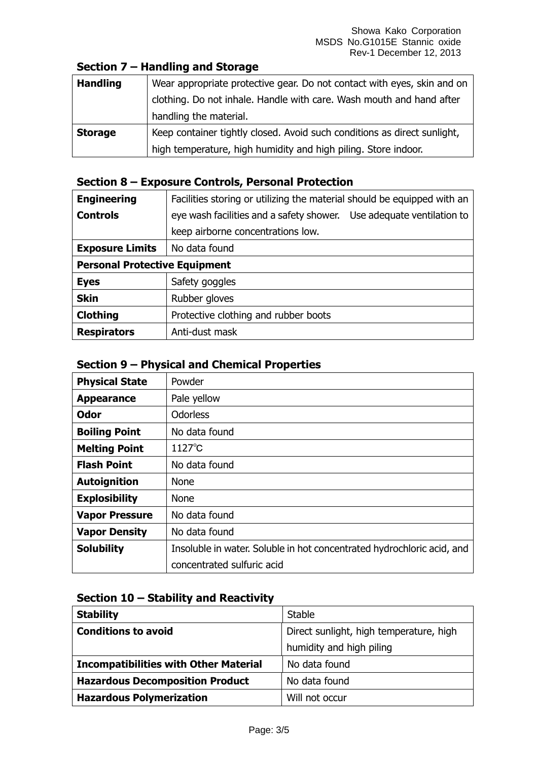## **Section 7 – Handling and Storage**

| <b>Handling</b> | Wear appropriate protective gear. Do not contact with eyes, skin and on  |
|-----------------|--------------------------------------------------------------------------|
|                 | clothing. Do not inhale. Handle with care. Wash mouth and hand after     |
|                 | handling the material.                                                   |
| <b>Storage</b>  | Keep container tightly closed. Avoid such conditions as direct sunlight, |
|                 | high temperature, high humidity and high piling. Store indoor.           |

### **Section 8 – Exposure Controls, Personal Protection**

| <b>Engineering</b>                   | Facilities storing or utilizing the material should be equipped with an |  |
|--------------------------------------|-------------------------------------------------------------------------|--|
| <b>Controls</b>                      | eye wash facilities and a safety shower. Use adequate ventilation to    |  |
|                                      | keep airborne concentrations low.                                       |  |
| <b>Exposure Limits</b>               | No data found                                                           |  |
| <b>Personal Protective Equipment</b> |                                                                         |  |
| <b>Eyes</b>                          | Safety goggles                                                          |  |
| <b>Skin</b>                          | Rubber gloves                                                           |  |
| <b>Clothing</b>                      | Protective clothing and rubber boots                                    |  |
| <b>Respirators</b>                   | Anti-dust mask                                                          |  |

## **Section 9 – Physical and Chemical Properties**

| <b>Physical State</b> | Powder                                                                 |
|-----------------------|------------------------------------------------------------------------|
| <b>Appearance</b>     | Pale yellow                                                            |
| <b>Odor</b>           | <b>Odorless</b>                                                        |
| <b>Boiling Point</b>  | No data found                                                          |
| <b>Melting Point</b>  | $1127^{\circ}$ C                                                       |
| <b>Flash Point</b>    | No data found                                                          |
| <b>Autoignition</b>   | <b>None</b>                                                            |
| <b>Explosibility</b>  | <b>None</b>                                                            |
| <b>Vapor Pressure</b> | No data found                                                          |
| <b>Vapor Density</b>  | No data found                                                          |
| <b>Solubility</b>     | Insoluble in water. Soluble in hot concentrated hydrochloric acid, and |
|                       | concentrated sulfuric acid                                             |

#### **Section 10 – Stability and Reactivity**

| <b>Stability</b>                             | Stable                                  |
|----------------------------------------------|-----------------------------------------|
| <b>Conditions to avoid</b>                   | Direct sunlight, high temperature, high |
|                                              | humidity and high piling                |
| <b>Incompatibilities with Other Material</b> | No data found                           |
| <b>Hazardous Decomposition Product</b>       | No data found                           |
| <b>Hazardous Polymerization</b>              | Will not occur                          |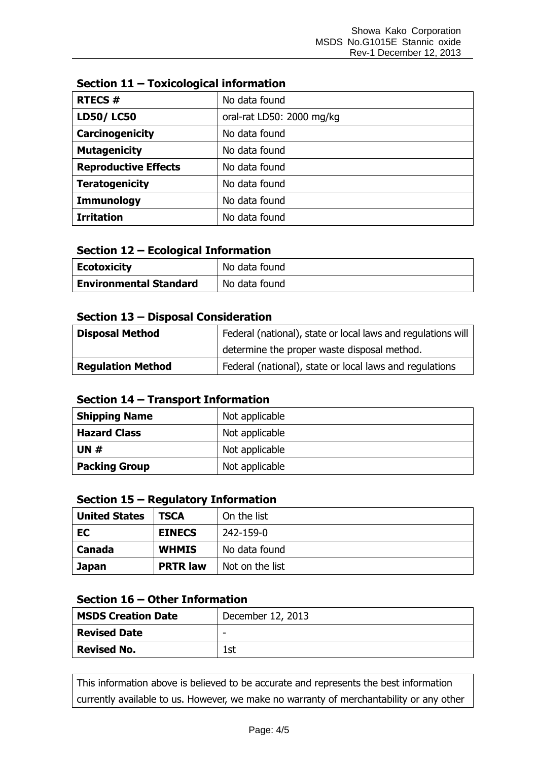| <b>RTECS#</b>               | No data found             |
|-----------------------------|---------------------------|
| <b>LD50/LC50</b>            | oral-rat LD50: 2000 mg/kg |
| Carcinogenicity             | No data found             |
| <b>Mutagenicity</b>         | No data found             |
| <b>Reproductive Effects</b> | No data found             |
| <b>Teratogenicity</b>       | No data found             |
| <b>Immunology</b>           | No data found             |
| <b>Irritation</b>           | No data found             |

## **Section 11 – Toxicological information**

#### **Section 12 – Ecological Information**

| <b>Ecotoxicity</b>            | No data found |
|-------------------------------|---------------|
| <b>Environmental Standard</b> | No data found |

#### **Section 13 – Disposal Consideration**

| <b>Disposal Method</b>   | Federal (national), state or local laws and regulations will |
|--------------------------|--------------------------------------------------------------|
|                          | determine the proper waste disposal method.                  |
| <b>Regulation Method</b> | Federal (national), state or local laws and regulations      |

#### **Section 14 – Transport Information**

| <b>Shipping Name</b> | Not applicable |
|----------------------|----------------|
| <b>Hazard Class</b>  | Not applicable |
| UN $#$               | Not applicable |
| <b>Packing Group</b> | Not applicable |

#### **Section 15 – Regulatory Information**

| <b>United States</b> | <b>TSCA</b>     | On the list     |
|----------------------|-----------------|-----------------|
| EC                   | <b>EINECS</b>   | 242-159-0       |
| Canada               | <b>WHMIS</b>    | No data found   |
| <b>Japan</b>         | <b>PRTR law</b> | Not on the list |

## **Section 16 – Other Information**

| <b>MSDS Creation Date</b> | December 12, 2013        |
|---------------------------|--------------------------|
| <b>Revised Date</b>       | $\overline{\phantom{0}}$ |
| <b>Revised No.</b>        | .st                      |

This information above is believed to be accurate and represents the best information currently available to us. However, we make no warranty of merchantability or any other